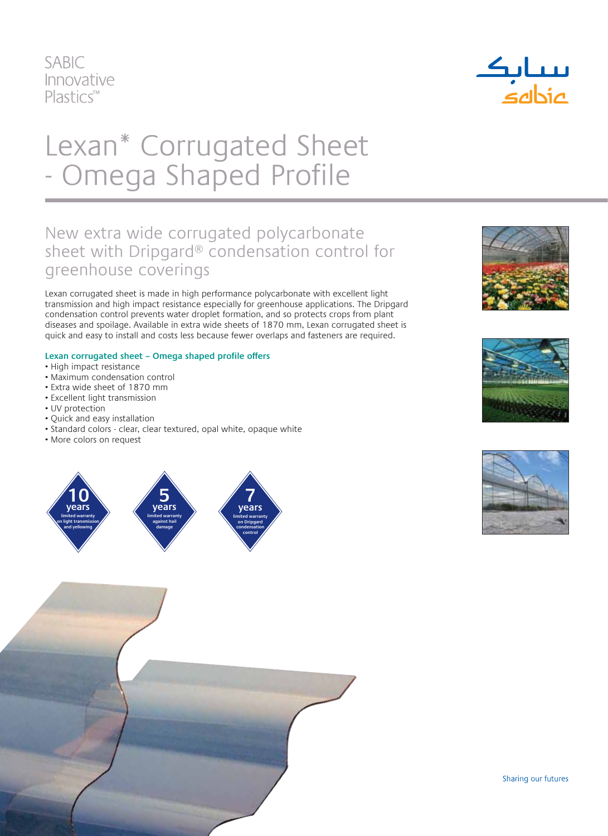



# Lexan\* Corrugated Sheet - Omega Shaped Profile

### New extra wide corrugated polycarbonate sheet with Dripgard® condensation control for greenhouse coverings

Lexan corrugated sheet is made in high performance polycarbonate with excellent light transmission and high impact resistance especially for greenhouse applications. The Dripgard condensation control prevents water droplet formation, and so protects crops from plant diseases and spoilage. Available in extra wide sheets of 1870 mm, Lexan corrugated sheet is quick and easy to install and costs less because fewer overlaps and fasteners are required.

#### **Lexan corrugated sheet – Omega shaped profile offers**

- High impact resistance
- Maximum condensation control
- Extra wide sheet of 1870 mm
- Excellent light transmission
- UV protection
- Quick and easy installation
- Standard colors clear, clear textured, opal white, opaque white
- More colors on request











Sharing our futures